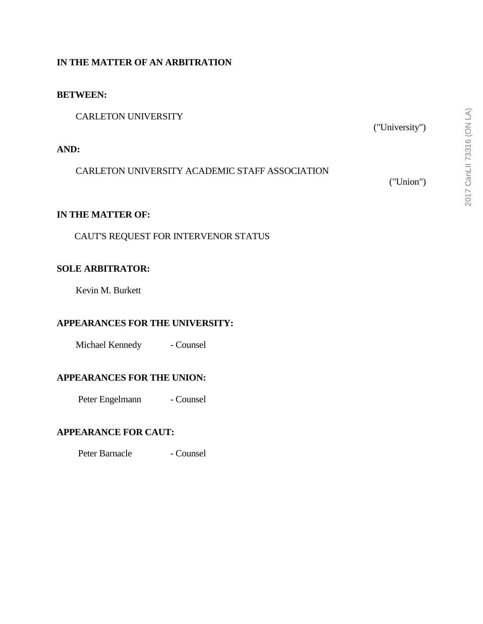## **IN THE MATTER OF AN ARBITRATION**

#### **BETWEEN:**

CARLETON UNIVERSITY

## **AND:**

CARLETON UNIVERSITY ACADEMIC STAFF ASSOCIATION

("Union")

("University")

## **IN THE MATTER OF:**

CAUT'S REQUEST FOR INTERVENOR STATUS

### **SOLE ARBITRATOR:**

Kevin M. Burkett

### **APPEARANCES FOR THE UNIVERSITY:**

Michael Kennedy - Counsel

### **APPEARANCES FOR THE UNION:**

Peter Engelmann - Counsel

### **APPEARANCE FOR CAUT:**

Peter Barnacle - Counsel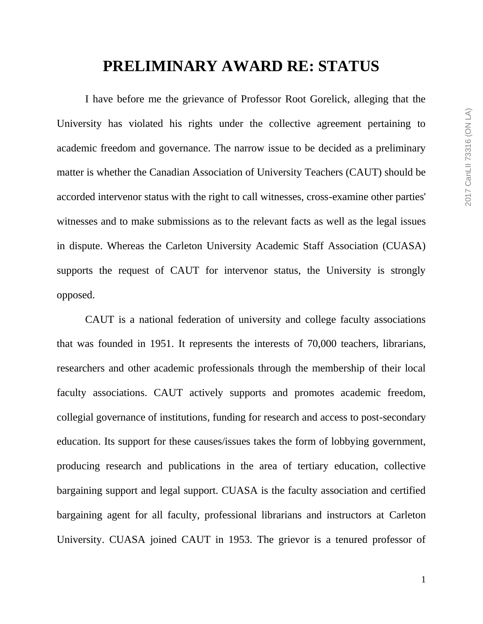# **PRELIMINARY AWARD RE: STATUS**

I have before me the grievance of Professor Root Gorelick, alleging that the University has violated his rights under the collective agreement pertaining to academic freedom and governance. The narrow issue to be decided as a preliminary matter is whether the Canadian Association of University Teachers (CAUT) should be accorded intervenor status with the right to call witnesses, cross-examine other parties' witnesses and to make submissions as to the relevant facts as well as the legal issues in dispute. Whereas the Carleton University Academic Staff Association (CUASA) supports the request of CAUT for intervenor status, the University is strongly opposed.

CAUT is a national federation of university and college faculty associations that was founded in 1951. It represents the interests of 70,000 teachers, librarians, researchers and other academic professionals through the membership of their local faculty associations. CAUT actively supports and promotes academic freedom, collegial governance of institutions, funding for research and access to post-secondary education. Its support for these causes/issues takes the form of lobbying government, producing research and publications in the area of tertiary education, collective bargaining support and legal support. CUASA is the faculty association and certified bargaining agent for all faculty, professional librarians and instructors at Carleton University. CUASA joined CAUT in 1953. The grievor is a tenured professor of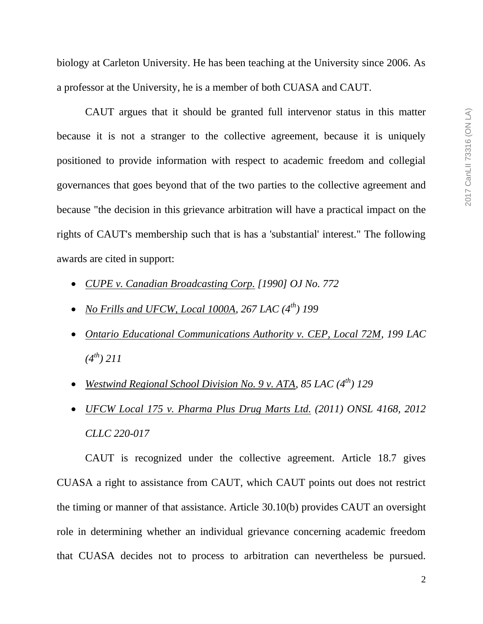biology at Carleton University. He has been teaching at the University since 2006. As a professor at the University, he is a member of both CUASA and CAUT.

CAUT argues that it should be granted full intervenor status in this matter because it is not a stranger to the collective agreement, because it is uniquely positioned to provide information with respect to academic freedom and collegial governances that goes beyond that of the two parties to the collective agreement and because "the decision in this grievance arbitration will have a practical impact on the rights of CAUT's membership such that is has a 'substantial' interest." The following awards are cited in support:

- *CUPE v. Canadian Broadcasting Corp. [1990] OJ No. 772*
- *No Frills and UFCW, Local 1000A, 267 LAC (4th) 199*
- *Ontario Educational Communications Authority v. CEP, Local 72M, 199 LAC (4th) 211*
- *Westwind Regional School Division No. 9 v. ATA, 85 LAC (4th) 129*
- *UFCW Local 175 v. Pharma Plus Drug Marts Ltd. (2011) ONSL 4168, 2012 CLLC 220-017*

CAUT is recognized under the collective agreement. Article 18.7 gives CUASA a right to assistance from CAUT, which CAUT points out does not restrict the timing or manner of that assistance. Article 30.10(b) provides CAUT an oversight role in determining whether an individual grievance concerning academic freedom that CUASA decides not to process to arbitration can nevertheless be pursued.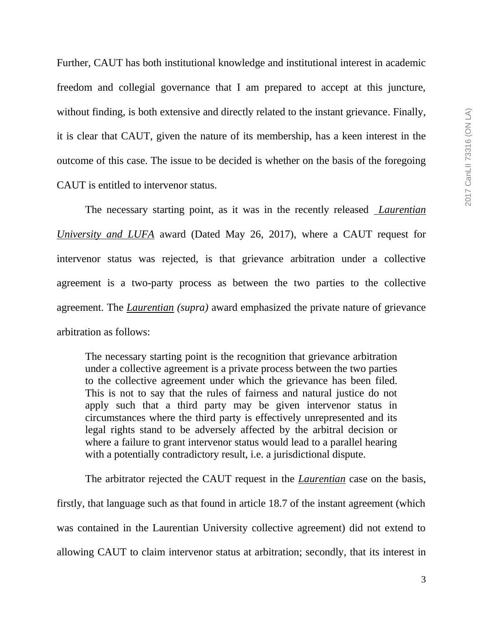Further, CAUT has both institutional knowledge and institutional interest in academic freedom and collegial governance that I am prepared to accept at this juncture, without finding, is both extensive and directly related to the instant grievance. Finally, it is clear that CAUT, given the nature of its membership, has a keen interest in the outcome of this case. The issue to be decided is whether on the basis of the foregoing CAUT is entitled to intervenor status.

The necessary starting point, as it was in the recently released *Laurentian University and LUFA* award (Dated May 26, 2017), where a CAUT request for intervenor status was rejected, is that grievance arbitration under a collective agreement is a two-party process as between the two parties to the collective agreement. The *Laurentian (supra)* award emphasized the private nature of grievance arbitration as follows:

The necessary starting point is the recognition that grievance arbitration under a collective agreement is a private process between the two parties to the collective agreement under which the grievance has been filed. This is not to say that the rules of fairness and natural justice do not apply such that a third party may be given intervenor status in circumstances where the third party is effectively unrepresented and its legal rights stand to be adversely affected by the arbitral decision or where a failure to grant intervenor status would lead to a parallel hearing with a potentially contradictory result, i.e. a jurisdictional dispute.

The arbitrator rejected the CAUT request in the *Laurentian* case on the basis, firstly, that language such as that found in article 18.7 of the instant agreement (which was contained in the Laurentian University collective agreement) did not extend to allowing CAUT to claim intervenor status at arbitration; secondly, that its interest in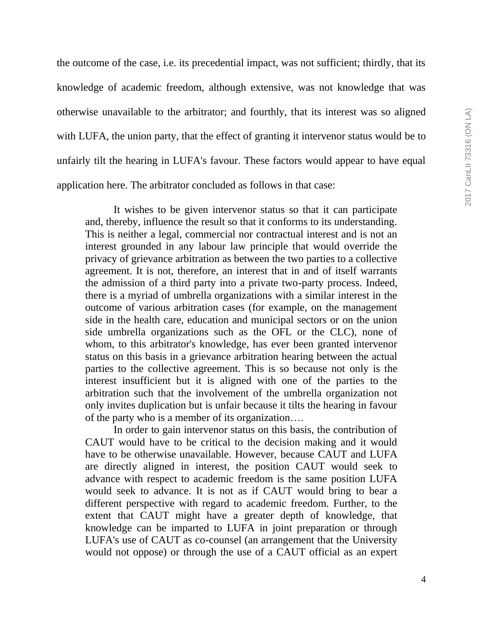the outcome of the case, i.e. its precedential impact, was not sufficient; thirdly, that its knowledge of academic freedom, although extensive, was not knowledge that was otherwise unavailable to the arbitrator; and fourthly, that its interest was so aligned with LUFA, the union party, that the effect of granting it intervenor status would be to unfairly tilt the hearing in LUFA's favour. These factors would appear to have equal application here. The arbitrator concluded as follows in that case:

It wishes to be given intervenor status so that it can participate and, thereby, influence the result so that it conforms to its understanding. This is neither a legal, commercial nor contractual interest and is not an interest grounded in any labour law principle that would override the privacy of grievance arbitration as between the two parties to a collective agreement. It is not, therefore, an interest that in and of itself warrants the admission of a third party into a private two-party process. Indeed, there is a myriad of umbrella organizations with a similar interest in the outcome of various arbitration cases (for example, on the management side in the health care, education and municipal sectors or on the union side umbrella organizations such as the OFL or the CLC), none of whom, to this arbitrator's knowledge, has ever been granted intervenor status on this basis in a grievance arbitration hearing between the actual parties to the collective agreement. This is so because not only is the interest insufficient but it is aligned with one of the parties to the arbitration such that the involvement of the umbrella organization not only invites duplication but is unfair because it tilts the hearing in favour of the party who is a member of its organization….

In order to gain intervenor status on this basis, the contribution of CAUT would have to be critical to the decision making and it would have to be otherwise unavailable. However, because CAUT and LUFA are directly aligned in interest, the position CAUT would seek to advance with respect to academic freedom is the same position LUFA would seek to advance. It is not as if CAUT would bring to bear a different perspective with regard to academic freedom. Further, to the extent that CAUT might have a greater depth of knowledge, that knowledge can be imparted to LUFA in joint preparation or through LUFA's use of CAUT as co-counsel (an arrangement that the University would not oppose) or through the use of a CAUT official as an expert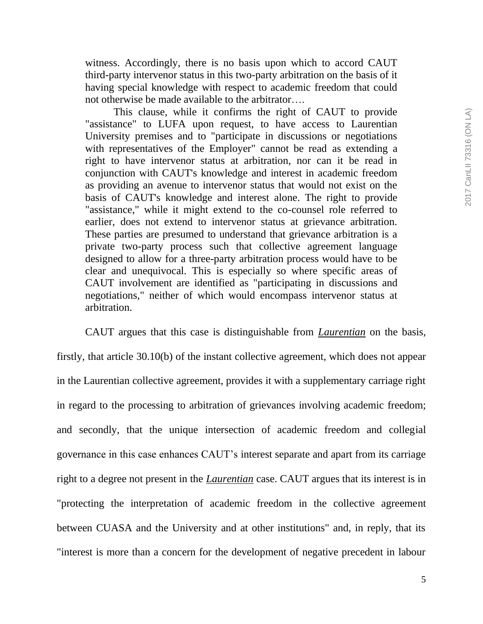witness. Accordingly, there is no basis upon which to accord CAUT third-party intervenor status in this two-party arbitration on the basis of it having special knowledge with respect to academic freedom that could not otherwise be made available to the arbitrator….

This clause, while it confirms the right of CAUT to provide "assistance" to LUFA upon request, to have access to Laurentian University premises and to "participate in discussions or negotiations with representatives of the Employer" cannot be read as extending a right to have intervenor status at arbitration, nor can it be read in conjunction with CAUT's knowledge and interest in academic freedom as providing an avenue to intervenor status that would not exist on the basis of CAUT's knowledge and interest alone. The right to provide "assistance," while it might extend to the co-counsel role referred to earlier, does not extend to intervenor status at grievance arbitration. These parties are presumed to understand that grievance arbitration is a private two-party process such that collective agreement language designed to allow for a three-party arbitration process would have to be clear and unequivocal. This is especially so where specific areas of CAUT involvement are identified as "participating in discussions and negotiations," neither of which would encompass intervenor status at arbitration.

CAUT argues that this case is distinguishable from *Laurentian* on the basis, firstly, that article 30.10(b) of the instant collective agreement, which does not appear in the Laurentian collective agreement, provides it with a supplementary carriage right in regard to the processing to arbitration of grievances involving academic freedom; and secondly, that the unique intersection of academic freedom and collegial governance in this case enhances CAUT's interest separate and apart from its carriage right to a degree not present in the *Laurentian* case. CAUT argues that its interest is in "protecting the interpretation of academic freedom in the collective agreement between CUASA and the University and at other institutions" and, in reply, that its "interest is more than a concern for the development of negative precedent in labour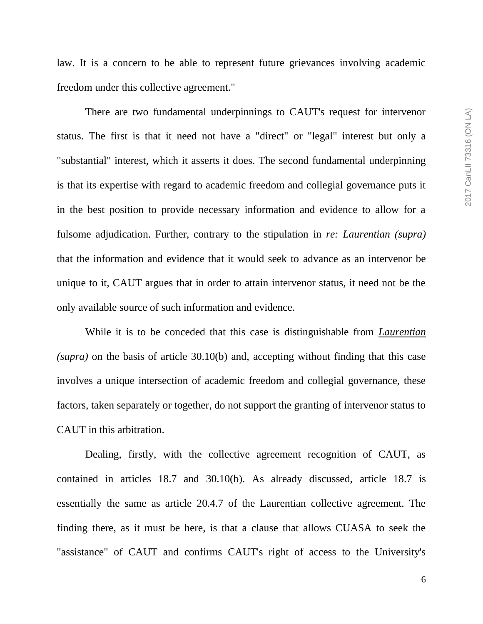law. It is a concern to be able to represent future grievances involving academic freedom under this collective agreement."

There are two fundamental underpinnings to CAUT's request for intervenor status. The first is that it need not have a "direct" or "legal" interest but only a "substantial" interest, which it asserts it does. The second fundamental underpinning is that its expertise with regard to academic freedom and collegial governance puts it in the best position to provide necessary information and evidence to allow for a fulsome adjudication. Further, contrary to the stipulation in *re: Laurentian (supra)* that the information and evidence that it would seek to advance as an intervenor be unique to it, CAUT argues that in order to attain intervenor status, it need not be the only available source of such information and evidence.

While it is to be conceded that this case is distinguishable from *Laurentian (supra)* on the basis of article 30.10(b) and, accepting without finding that this case involves a unique intersection of academic freedom and collegial governance, these factors, taken separately or together, do not support the granting of intervenor status to CAUT in this arbitration.

Dealing, firstly, with the collective agreement recognition of CAUT, as contained in articles 18.7 and 30.10(b). As already discussed, article 18.7 is essentially the same as article 20.4.7 of the Laurentian collective agreement. The finding there, as it must be here, is that a clause that allows CUASA to seek the "assistance" of CAUT and confirms CAUT's right of access to the University's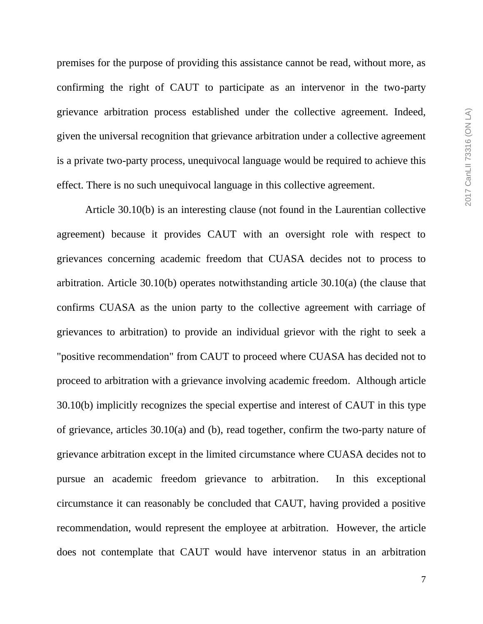premises for the purpose of providing this assistance cannot be read, without more, as confirming the right of CAUT to participate as an intervenor in the two-party grievance arbitration process established under the collective agreement. Indeed, given the universal recognition that grievance arbitration under a collective agreement is a private two-party process, unequivocal language would be required to achieve this effect. There is no such unequivocal language in this collective agreement.

Article 30.10(b) is an interesting clause (not found in the Laurentian collective agreement) because it provides CAUT with an oversight role with respect to grievances concerning academic freedom that CUASA decides not to process to arbitration. Article 30.10(b) operates notwithstanding article 30.10(a) (the clause that confirms CUASA as the union party to the collective agreement with carriage of grievances to arbitration) to provide an individual grievor with the right to seek a "positive recommendation" from CAUT to proceed where CUASA has decided not to proceed to arbitration with a grievance involving academic freedom. Although article 30.10(b) implicitly recognizes the special expertise and interest of CAUT in this type of grievance, articles 30.10(a) and (b), read together, confirm the two-party nature of grievance arbitration except in the limited circumstance where CUASA decides not to pursue an academic freedom grievance to arbitration. In this exceptional circumstance it can reasonably be concluded that CAUT, having provided a positive recommendation, would represent the employee at arbitration. However, the article does not contemplate that CAUT would have intervenor status in an arbitration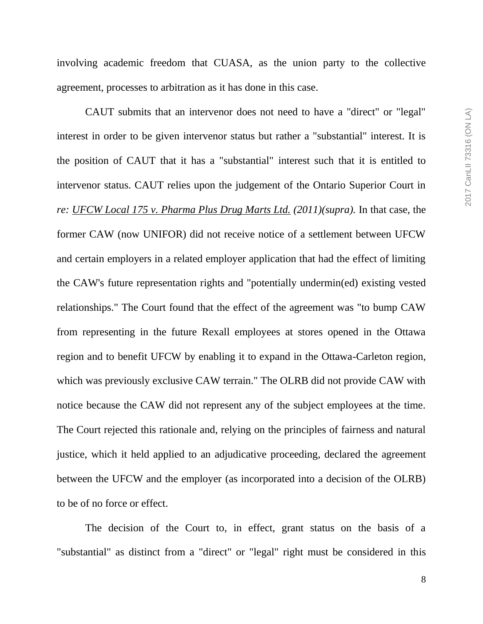involving academic freedom that CUASA, as the union party to the collective agreement, processes to arbitration as it has done in this case.

CAUT submits that an intervenor does not need to have a "direct" or "legal" interest in order to be given intervenor status but rather a "substantial" interest. It is the position of CAUT that it has a "substantial" interest such that it is entitled to intervenor status. CAUT relies upon the judgement of the Ontario Superior Court in *re: UFCW Local 175 v. Pharma Plus Drug Marts Ltd. (2011)(supra).* In that case, the former CAW (now UNIFOR) did not receive notice of a settlement between UFCW and certain employers in a related employer application that had the effect of limiting the CAW's future representation rights and "potentially undermin(ed) existing vested relationships." The Court found that the effect of the agreement was "to bump CAW from representing in the future Rexall employees at stores opened in the Ottawa region and to benefit UFCW by enabling it to expand in the Ottawa-Carleton region, which was previously exclusive CAW terrain." The OLRB did not provide CAW with notice because the CAW did not represent any of the subject employees at the time. The Court rejected this rationale and, relying on the principles of fairness and natural justice, which it held applied to an adjudicative proceeding, declared the agreement between the UFCW and the employer (as incorporated into a decision of the OLRB) to be of no force or effect.

The decision of the Court to, in effect, grant status on the basis of a "substantial" as distinct from a "direct" or "legal" right must be considered in this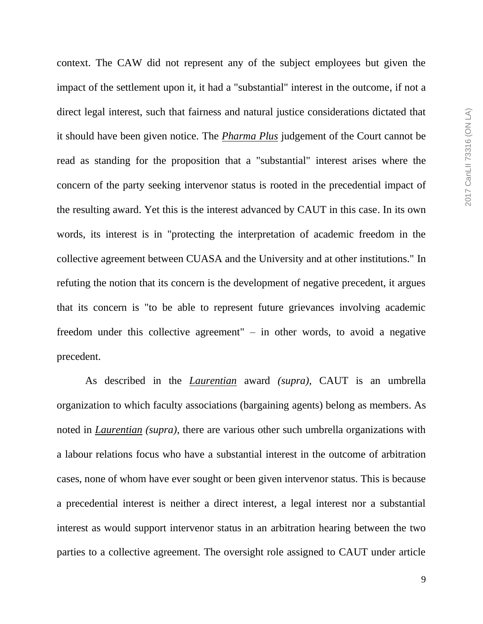context. The CAW did not represent any of the subject employees but given the impact of the settlement upon it, it had a "substantial" interest in the outcome, if not a direct legal interest, such that fairness and natural justice considerations dictated that it should have been given notice. The *Pharma Plus* judgement of the Court cannot be read as standing for the proposition that a "substantial" interest arises where the concern of the party seeking intervenor status is rooted in the precedential impact of the resulting award. Yet this is the interest advanced by CAUT in this case. In its own words, its interest is in "protecting the interpretation of academic freedom in the collective agreement between CUASA and the University and at other institutions." In refuting the notion that its concern is the development of negative precedent, it argues that its concern is "to be able to represent future grievances involving academic freedom under this collective agreement" – in other words, to avoid a negative precedent.

As described in the *Laurentian* award *(supra)*, CAUT is an umbrella organization to which faculty associations (bargaining agents) belong as members. As noted in *Laurentian (supra)*, there are various other such umbrella organizations with a labour relations focus who have a substantial interest in the outcome of arbitration cases, none of whom have ever sought or been given intervenor status. This is because a precedential interest is neither a direct interest, a legal interest nor a substantial interest as would support intervenor status in an arbitration hearing between the two parties to a collective agreement. The oversight role assigned to CAUT under article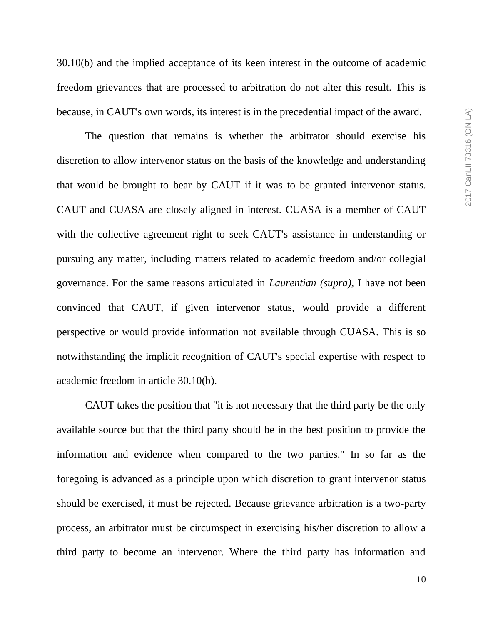30.10(b) and the implied acceptance of its keen interest in the outcome of academic freedom grievances that are processed to arbitration do not alter this result. This is because, in CAUT's own words, its interest is in the precedential impact of the award.

The question that remains is whether the arbitrator should exercise his discretion to allow intervenor status on the basis of the knowledge and understanding that would be brought to bear by CAUT if it was to be granted intervenor status. CAUT and CUASA are closely aligned in interest. CUASA is a member of CAUT with the collective agreement right to seek CAUT's assistance in understanding or pursuing any matter, including matters related to academic freedom and/or collegial governance. For the same reasons articulated in *Laurentian (supra)*, I have not been convinced that CAUT, if given intervenor status, would provide a different perspective or would provide information not available through CUASA. This is so notwithstanding the implicit recognition of CAUT's special expertise with respect to academic freedom in article 30.10(b).

CAUT takes the position that "it is not necessary that the third party be the only available source but that the third party should be in the best position to provide the information and evidence when compared to the two parties." In so far as the foregoing is advanced as a principle upon which discretion to grant intervenor status should be exercised, it must be rejected. Because grievance arbitration is a two-party process, an arbitrator must be circumspect in exercising his/her discretion to allow a third party to become an intervenor. Where the third party has information and